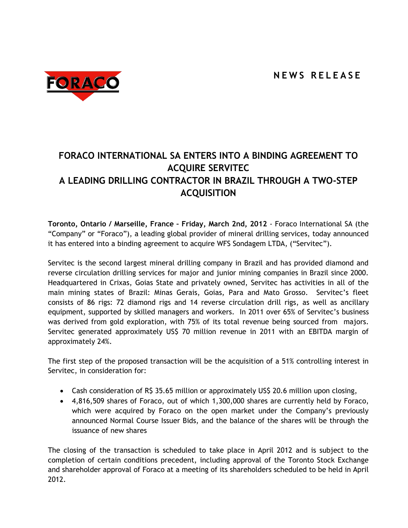

## **FORACO INTERNATIONAL SA ENTERS INTO A BINDING AGREEMENT TO ACQUIRE SERVITEC A LEADING DRILLING CONTRACTOR IN BRAZIL THROUGH A TWO-STEP ACQUISITION**

**Toronto, Ontario / Marseille, France – Friday, March 2nd, 2012** - Foraco International SA (the "Company" or "Foraco"), a leading global provider of mineral drilling services, today announced it has entered into a binding agreement to acquire WFS Sondagem LTDA, ("Servitec").

Servitec is the second largest mineral drilling company in Brazil and has provided diamond and reverse circulation drilling services for major and junior mining companies in Brazil since 2000. Headquartered in Crixas, Goias State and privately owned, Servitec has activities in all of the main mining states of Brazil: Minas Gerais, Goias, Para and Mato Grosso. Servitec's fleet consists of 86 rigs: 72 diamond rigs and 14 reverse circulation drill rigs, as well as ancillary equipment, supported by skilled managers and workers. In 2011 over 65% of Servitec's business was derived from gold exploration, with 75% of its total revenue being sourced from majors. Servitec generated approximately US\$ 70 million revenue in 2011 with an EBITDA margin of approximately 24%.

The first step of the proposed transaction will be the acquisition of a 51% controlling interest in Servitec, in consideration for:

- Cash consideration of R\$ 35.65 million or approximately US\$ 20.6 million upon closing,
- 4,816,509 shares of Foraco, out of which 1,300,000 shares are currently held by Foraco, which were acquired by Foraco on the open market under the Company's previously announced Normal Course Issuer Bids, and the balance of the shares will be through the issuance of new shares

The closing of the transaction is scheduled to take place in April 2012 and is subject to the completion of certain conditions precedent, including approval of the Toronto Stock Exchange and shareholder approval of Foraco at a meeting of its shareholders scheduled to be held in April 2012.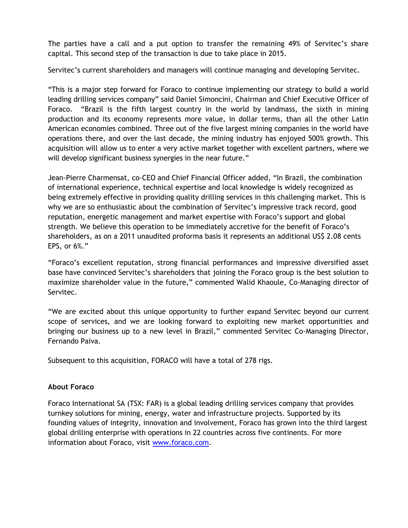The parties have a call and a put option to transfer the remaining 49% of Servitec's share capital. This second step of the transaction is due to take place in 2015.

Servitec's current shareholders and managers will continue managing and developing Servitec.

"This is a major step forward for Foraco to continue implementing our strategy to build a world leading drilling services company" said Daniel Simoncini, Chairman and Chief Executive Officer of Foraco. "Brazil is the fifth largest country in the world by landmass, the sixth in mining production and its economy represents more value, in dollar terms, than all the other Latin American economies combined. Three out of the five largest mining companies in the world have operations there, and over the last decade, the mining industry has enjoyed 500% growth. This acquisition will allow us to enter a very active market together with excellent partners, where we will develop significant business synergies in the near future."

Jean-Pierre Charmensat, co-CEO and Chief Financial Officer added, "In Brazil, the combination of international experience, technical expertise and local knowledge is widely recognized as being extremely effective in providing quality drilling services in this challenging market. This is why we are so enthusiastic about the combination of Servitec's impressive track record, good reputation, energetic management and market expertise with Foraco's support and global strength. We believe this operation to be immediately accretive for the benefit of Foraco's shareholders, as on a 2011 unaudited proforma basis it represents an additional US\$ 2.08 cents EPS, or 6%."

"Foraco's excellent reputation, strong financial performances and impressive diversified asset base have convinced Servitec's shareholders that joining the Foraco group is the best solution to maximize shareholder value in the future," commented Walid Khaoule, Co-Managing director of Servitec.

"We are excited about this unique opportunity to further expand Servitec beyond our current scope of services, and we are looking forward to exploiting new market opportunities and bringing our business up to a new level in Brazil," commented Servitec Co-Managing Director, Fernando Paiva.

Subsequent to this acquisition, FORACO will have a total of 278 rigs.

## **About Foraco**

Foraco International SA (TSX: FAR) is a global leading drilling services company that provides turnkey solutions for mining, energy, water and infrastructure projects. Supported by its founding values of integrity, innovation and involvement, Foraco has grown into the third largest global drilling enterprise with operations in 22 countries across five continents. For more information about Foraco, visit www.foraco.com.